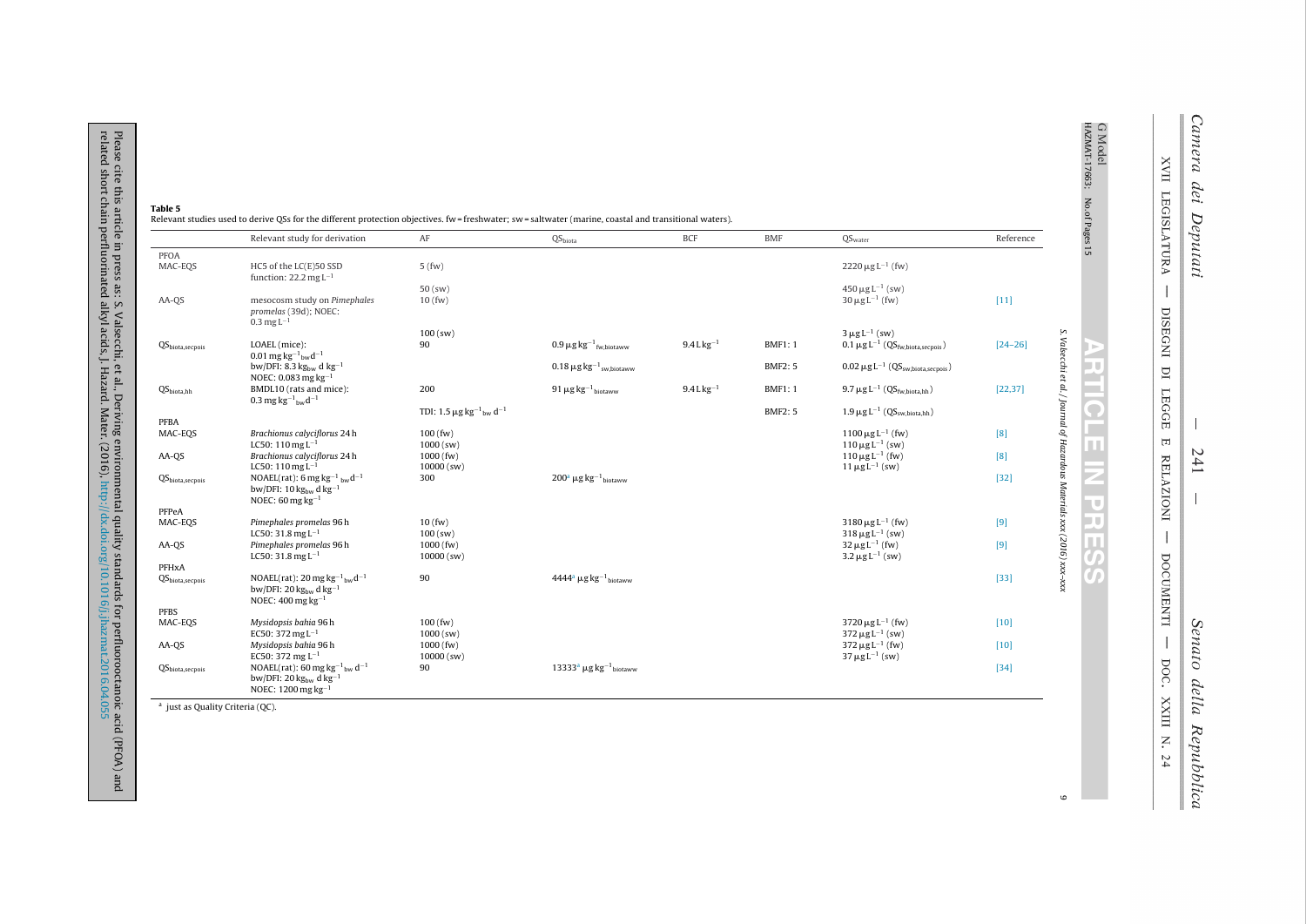|                                    | Relevant study for derivation                                                                                                                                   | AF                                                              | QS <sub>biota</sub>                                             | <b>BCF</b>      | <b>BMF</b>     | QS <sub>water</sub>                                     | Reference   |
|------------------------------------|-----------------------------------------------------------------------------------------------------------------------------------------------------------------|-----------------------------------------------------------------|-----------------------------------------------------------------|-----------------|----------------|---------------------------------------------------------|-------------|
| <b>PFOA</b><br>MAC-EOS             | HC5 of the LC(E)50 SSD<br>function: $22.2 \text{ mg } L^{-1}$                                                                                                   | 5(fw)                                                           |                                                                 |                 |                | $2220 \,\mu g L^{-1}$ (fw)                              |             |
|                                    |                                                                                                                                                                 | $50$ (sw)                                                       |                                                                 |                 |                | $450 \,\mathrm{\upmu}\mathrm{g}\,\mathrm{L}^{-1}$ (sw)  |             |
| AA-OS                              | mesocosm study on Pimephales<br>promelas (39d); NOEC:<br>$0.3 \,\mathrm{mg}\,\mathrm{L}^{-1}$                                                                   | 10(fw)                                                          |                                                                 |                 |                | $30 \,\mu g L^{-1}$ (fw)                                | $[11]$      |
|                                    |                                                                                                                                                                 | $100$ (sw)                                                      |                                                                 |                 |                | $3 \mu g L^{-1}$ (sw)                                   |             |
| $QS_{\text{biota},\text{secpois}}$ | LOAEL (mice):<br>0.01 mg kg <sup>-1</sup> <sub>bw</sub> d <sup>-1</sup>                                                                                         | 90                                                              | $0.9 \,\mathrm{\mu g\,kg^{-1}}_{\mathrm{fw},\mathrm{biotaww}}$  | $9.4 L kg^{-1}$ | <b>BMF1:1</b>  | $0.1 \mu g L^{-1}$ (QS <sub>fw,biota,secpois</sub> )    | $[24 - 26]$ |
|                                    | bw/DFI: 8.3 kg <sub>bw</sub> d kg <sup>-1</sup><br>NOEC: 0.083 mg $kg^{-1}$                                                                                     |                                                                 | $0.18 \,\mathrm{\mu g\,kg^{-1}}_{\mathrm{sw},\mathrm{biotaww}}$ |                 | <b>BMF2: 5</b> | $0.02 \mu g L^{-1}$ (QS <sub>sw biota secnois</sub> )   |             |
| $QS_{biota.hh}$                    | BMDL10 (rats and mice):<br>0.3 mg kg <sup>-1</sup> <sub>bw</sub> d <sup>-1</sup>                                                                                | 200                                                             | 91 $\mu$ g kg <sup>-1</sup> biotaww                             | $9.4 L kg^{-1}$ | <b>BMF1:1</b>  | $9.7 \mu g L^{-1} (QS_{\text{fw}, \text{biota}, hh})$   | [22, 37]    |
|                                    |                                                                                                                                                                 | TDI: 1.5 $\mu$ g kg <sup>-1</sup> <sub>bw</sub> d <sup>-1</sup> |                                                                 |                 | <b>BMF2: 5</b> | $1.9 \mu g L^{-1}$ (OS <sub>sw biota hh</sub> )         |             |
| PFBA<br>MAC-EOS                    | Brachionus calvciflorus 24h                                                                                                                                     | $100$ (fw)                                                      |                                                                 |                 |                | $1100 \,\mu g L^{-1}$ (fw)                              | [8]         |
|                                    | LC50: $110$ mg L <sup>-1</sup>                                                                                                                                  | $1000$ (sw)                                                     |                                                                 |                 |                | $110 \,\mu g L^{-1}$ (sw)                               |             |
| AA-OS                              | Brachionus calyciflorus 24h                                                                                                                                     | $1000$ (fw)                                                     |                                                                 |                 |                | $110 \,\mu g L^{-1}$ (fw)                               | [8]         |
|                                    | LC50: 110 mg $L^{-1}$<br>NOAEL(rat): 6 mg kg <sup>-1</sup> bwd <sup>-1</sup>                                                                                    | 10000 (sw)<br>300                                               | $200^a \mu g kg^{-1}$ biotaww                                   |                 |                | $11 \,\mu g L^{-1}$ (sw)                                | $[32]$      |
| QS <sub>biota,secpois</sub>        | bw/DFI: $10 \text{ kg}_{\text{bw}} \text{dkg}^{-1}$<br>NOEC: $60$ mg kg <sup>-1</sup>                                                                           |                                                                 |                                                                 |                 |                |                                                         |             |
| PFPeA                              |                                                                                                                                                                 |                                                                 |                                                                 |                 |                |                                                         |             |
| MAC-EOS                            | Pimephales promelas 96 h<br>LC50: 31.8 mg $L^{-1}$                                                                                                              | 10(fw)<br>$100$ (sw)                                            |                                                                 |                 |                | $3180 \,\mu g L^{-1}$ (fw)<br>$318 \,\mu g L^{-1}$ (sw) | [9]         |
| AA-OS                              | Pimephales promelas 96 h                                                                                                                                        | $1000$ (fw)                                                     |                                                                 |                 |                | $32 \,\mu g L^{-1}$ (fw)                                | [9]         |
|                                    | LC50: 31.8 mg $L^{-1}$                                                                                                                                          | $10000$ (sw)                                                    |                                                                 |                 |                | $3.2 \,\mu g L^{-1}$ (sw)                               |             |
| PFHxA                              |                                                                                                                                                                 |                                                                 |                                                                 |                 |                |                                                         |             |
| QS <sub>biota,secpois</sub>        | NOAEL(rat): $20 \text{ mg} \text{ kg}^{-1}$ <sub>bw</sub> $d^{-1}$<br>bw/DFI: $20 \text{ kg}_{\text{bw}} \text{ d} \text{ kg}^{-1}$<br>NOEC: $400$ mg $kg^{-1}$ | 90                                                              | $4444^a$ µg kg <sup>-1</sup> biotaww                            |                 |                |                                                         | $[33]$      |
| <b>PFBS</b>                        |                                                                                                                                                                 |                                                                 |                                                                 |                 |                |                                                         |             |
| MAC-EOS                            | Mysidopsis bahia 96 h<br>EC50: 372 mg $L^{-1}$                                                                                                                  | $100$ (fw)<br>$1000$ (sw)                                       |                                                                 |                 |                | $3720 \,\mu g L^{-1}$ (fw)<br>$372 \,\mu g L^{-1}$ (sw) | $[10]$      |
| AA-OS                              | Mysidopsis bahia 96 h                                                                                                                                           | $1000$ (fw)                                                     |                                                                 |                 |                | $372 \,\mu g L^{-1}$ (fw)                               | $[10]$      |
| QS <sub>biota. secopois</sub>      | EC50: 372 mg $L^{-1}$<br>NOAEL(rat): 60 mg kg <sup>-1</sup> <sub>bw</sub> d <sup>-1</sup>                                                                       | $10000$ (sw)<br>90                                              | $13333a \mu g kg-1$ hiotaww                                     |                 |                | $37 \,\mu g L^{-1}$ (sw)                                | $[34]$      |
|                                    | bw/DFI: $20 \text{ kg}_{\text{bw}}$ d kg <sup>-1</sup><br>NOEC: $1200$ mg kg <sup>-1</sup>                                                                      |                                                                 |                                                                 |                 |                |                                                         |             |

 $\frac{a}{a}$  just as Quality Criteria (QC).

Please cite this article in press as: S. Valsecchi, et al., Deriving environmental quality standards for perfluorooctanoic acid (PFOA) and<br>related short chain perfluorinated alkyl acids, J. Hazard. Mater. (2016), http://dx

**XVII LEGISLATURA**  $\overline{1}$ DISEGNI DI LEGGE

 $\overline{\phantom{a}}$ DOCUMENTI -DOC. XXIII N. 24

241 Senato della Repubblica

 $\mathbf{H}$ 

G Model<br>HAZMAT-17663; No.of Pages 15

**ARTIC** 

戸

ш

Ξ ٠  $\overline{\mathbf{c}}$ 天真

76

T

S. Valsecchi et al. / Journal of Hazardous Materials xxx (2016) xxx-xxx

 $\mathbf 6$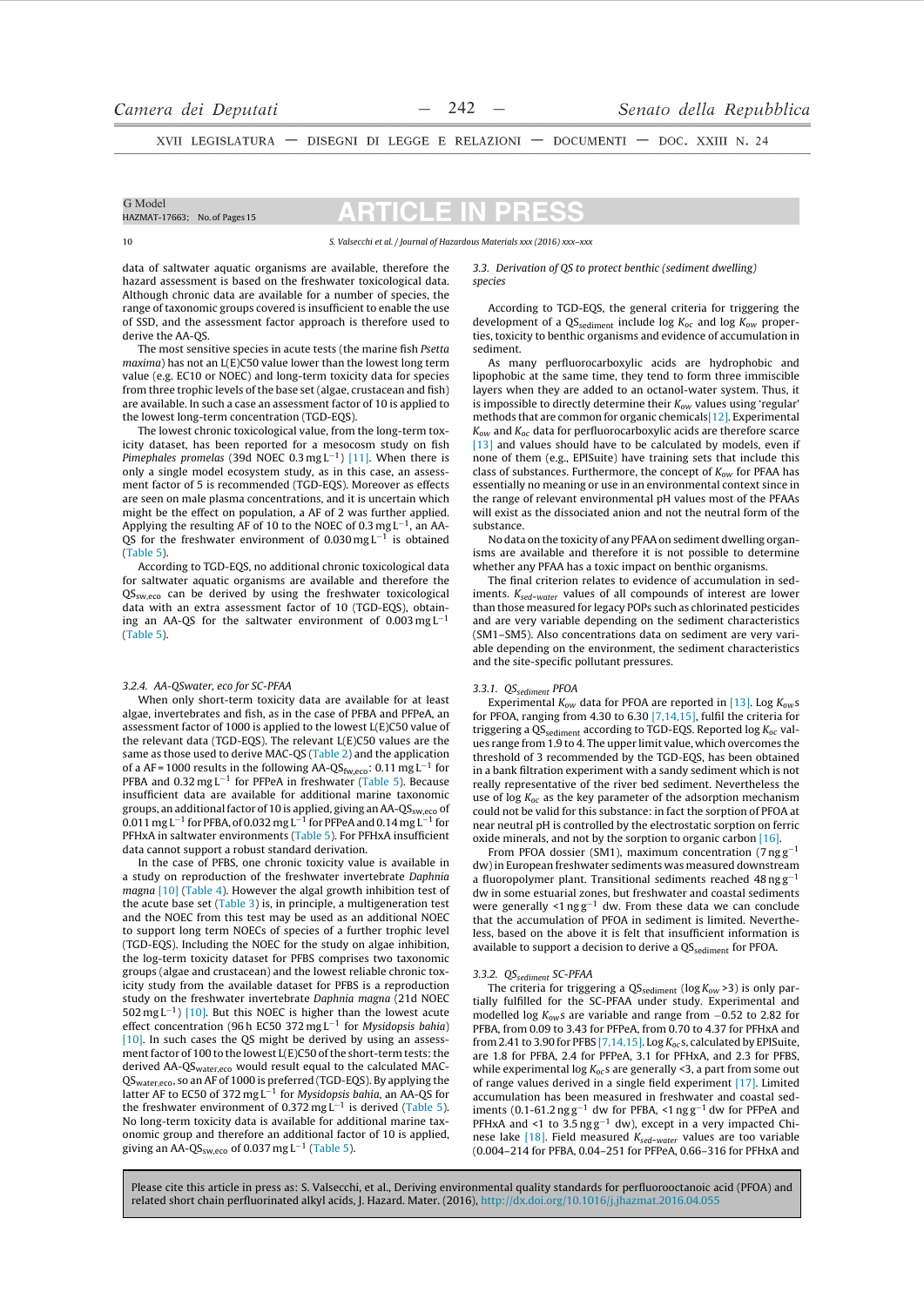XVII LEGISLATURA - DISEGNI DI LEGGE E RELAZIONI - DOCUMENTI - DOC. XXIII N. 24

#### G Model HAZMAT-17663; No. of Pages 15

# CI E

#### S. Valsecchi et al. / Journal of Hazardous Materials xxx (2016) xxx-xxx

data of saltwater aquatic organisms are available, therefore the hazard assessment is based on the freshwater toxicological data. Although chronic data are available for a number of species, the range of taxonomic groups covered is insufficient to enable the use of SSD, and the assessment factor approach is therefore used to derive the AA-OS.

The most sensitive species in acute tests (the marine fish Psetta  $maxima$ ) has not an  $I(E)$ C50 value lower than the lowest long term value (e.g. EC10 or NOEC) and long-term toxicity data for species from three trophic levels of the base set (algae, crustacean and fish) are available. In such a case an assessment factor of 10 is applied to the lowest long-term concentration (TGD-EQS).

The lowest chronic toxicological value, from the long-term toxicity dataset, has been reported for a mesocosm study on fish Pimephales promelas (39d NOEC 0.3 mgL<sup>-1</sup>) [11]. When there is only a single model ecosystem study, as in this case, an assessment factor of 5 is recommended (TGD-EQS). Moreover as effects are seen on male plasma concentrations, and it is uncertain which might be the effect on population, a AF of 2 was further applied. Applying the resulting AF of 10 to the NOEC of 0.3 mg  $L^{-1}$ , an AA-QS for the freshwater environment of  $0.030$  mg L<sup>-1</sup> is obtained  $(Table 5)$ .

According to TGD-EQS, no additional chronic toxicological data for saltwater aquatic organisms are available and therefore the  $OS<sub>sw-ero</sub>$  can be derived by using the freshwater toxicological data with an extra assessment factor of 10 (TGD-EQS), obtaining an AA-QS for the saltwater environment of  $0.003 \text{ mg L}^{-1}$  $(Table 5)$ .

### 3.2.4. AA-QSwater, eco for SC-PFAA

When only short-term toxicity data are available for at least algae, invertebrates and fish, as in the case of PFBA and PFPeA, an assessment factor of 1000 is applied to the lowest L(E)C50 value of the relevant data (TGD-EOS). The relevant  $L(E)$ C50 values are the same as those used to derive MAC-QS (Table 2) and the application of a AF = 1000 results in the following AA-QS<sub>fw,eco</sub>: 0.11 mg L<sup>-1</sup> for PFBA and  $0.32 \text{ mg L}^{-1}$  for PFPeA in freshwater (Table 5). Because insufficient data are available for additional marine taxonomic groups, an additional factor of 10 is applied, giving an AA-QS<sub>sw,eco</sub> of  $0.011$  mg L<sup>-1</sup> for PFBA, of 0.032 mg L<sup>-1</sup> for PFPeA and 0.14 mg L<sup>-1</sup> for PFHxA in saltwater environments (Table 5). For PFHxA insufficient data cannot support a robust standard derivation.

In the case of PFBS, one chronic toxicity value is available in a study on reproduction of the freshwater invertebrate Daphnia magna [10] (Table 4). However the algal growth inhibition test of the acute base set (Table 3) is, in principle, a multigeneration test and the NOEC from this test may be used as an additional NOEC to support long term NOECs of species of a further trophic level (TGD-EQS). Including the NOEC for the study on algae inhibition, the log-term toxicity dataset for PFBS comprises two taxonomic groups (algae and crustacean) and the lowest reliable chronic toxicity study from the available dataset for PFBS is a reproduction study on the freshwater invertebrate Daphnia magna (21d NOEC 502 mg  $L^{-1}$ ) [10]. But this NOEC is higher than the lowest acute effect concentration (96 h EC50 372 mg  $L^{-1}$  for Mysidopsis bahia)  $[10]$ . In such cases the QS might be derived by using an assessment factor of 100 to the lowest L(E)C50 of the short-term tests: the derived AA-OS<sub>water eco</sub> would result equal to the calculated MAC-QSwater.eco. So an AF of 1000 is preferred (TGD-EQS). By applying the latter AF to EC50 of 372 mg L<sup>-1</sup> for *Mysidopsis bahia*, an AA-QS for the freshwater environment of  $0.372$  mg  $L^{-1}$  is derived (Table 5). No long-term toxicity data is available for additional marine taxonomic group and therefore an additional factor of 10 is applied, giving an AA-QS<sub>sw.eco</sub> of 0.037 mg L<sup>-1</sup> (Table 5).

#### 3.3. Derivation of QS to protect benthic (sediment dwelling) species

According to TGD-EQS, the general criteria for triggering the development of a QS<sub>sediment</sub> include log  $K_{oc}$  and log  $K_{ow}$  properties, toxicity to benthic organisms and evidence of accumulation in sediment.

As many perfluorocarboxylic acids are hydrophobic and lipophobic at the same time, they tend to form three immiscible layers when they are added to an octanol-water system. Thus, it is impossible to directly determine their  $K_{ow}$  values using 'regular' methods that are common for organic chemicals[12]. Experimental  $K_{ow}$  and  $K_{oc}$  data for perfluorocarboxylic acids are therefore scarce [13] and values should have to be calculated by models, even if none of them (e.g., EPISuite) have training sets that include this class of substances. Furthermore, the concept of  $K_{ow}$  for PFAA has essentially no meaning or use in an environmental context since in the range of relevant environmental pH values most of the PFAAs will exist as the dissociated anion and not the neutral form of the substance.

No data on the toxicity of any PFAA on sediment dwelling organisms are available and therefore it is not possible to determine whether any PFAA has a toxic impact on benthic organisms.

The final criterion relates to evidence of accumulation in sediments.  $K_{sed-water}$  values of all compounds of interest are lower than those measured for legacy POPs such as chlorinated pesticides and are very variable depending on the sediment characteristics (SM1-SM5). Also concentrations data on sediment are very variable depending on the environment, the sediment characteristics and the site-specific pollutant pressures.

## 3.3.1. QS<sub>sediment</sub> PFOA

Experimental  $K_{ow}$  data for PFOA are reported in [13]. Log  $K_{ow}s$ for PFOA, ranging from 4.30 to 6.30 [7,14,15], fulfil the criteria for triggering a  $\mathrm{QS}_{\mathrm{sediment}}$  according to TGD-EQS. Reported log  $K_{oc}$  values range from 1.9 to 4. The upper limit value, which overcomes the threshold of 3 recommended by the TGD-EQS, has been obtained in a bank filtration experiment with a sandy sediment which is not really representative of the river bed sediment. Nevertheless the use of  $log K_{0c}$  as the key parameter of the adsorption mechanism could not be valid for this substance: in fact the sorption of PFOA at near neutral pH is controlled by the electrostatic sorption on ferric oxide minerals, and not by the sorption to organic carbon [16].

From PFOA dossier (SM1), maximum concentration (7 $ngg^{-1}$ dw) in European freshwater sediments was measured downstream a fluoropolymer plant. Transitional sediments reached  $48 \text{ ng g}^{-1}$ dw in some estuarial zones, but freshwater and coastal sediments were generally  $\leq 1$  ng  $g^{-1}$  dw. From these data we can conclude that the accumulation of PFOA in sediment is limited. Nevertheless, based on the above it is felt that insufficient information is available to support a decision to derive a QS<sub>sediment</sub> for PFOA.

### 3.3.2. QS<sub>sediment</sub> SC-PFAA

The criteria for triggering a  $\mathrm{QS}_{\mathrm{sediment}}$  (log  $K_{ow}$  >3) is only partially fulfilled for the SC-PFAA under study. Experimental and modelled log  $K_{\text{ow}}$ s are variable and range from  $-0.52$  to 2.82 for PFBA. from 0.09 to 3.43 for PFPeA. from 0.70 to 4.37 for PFHxA and from 2.41 to 3.90 for PFBS [7,14,15]. Log  $K_{oc}$ s, calculated by EPISuite, are 1.8 for PFBA, 2.4 for PFPeA, 3.1 for PFHxA, and 2.3 for PFBS, while experimental log  $K_{oc}$ s are generally <3, a part from some out of range values derived in a single field experiment  $[17]$ . Limited accumulation has been measured in freshwater and coastal sediments (0.1-61.2 ng  $g^{-1}$  dw for PFBA, <1 ng  $g^{-1}$  dw for PFPeA and PFHxA and <1 to  $3.5 \text{ ng g}^{-1}$  dw), except in a very impacted Chinese lake [18]. Field measured *K<sub>sed-water</sub>* values are too variable<br>(0.004–214 for PFBA, 0.04–251 for PFPeA, 0.66–316 for PFHxA and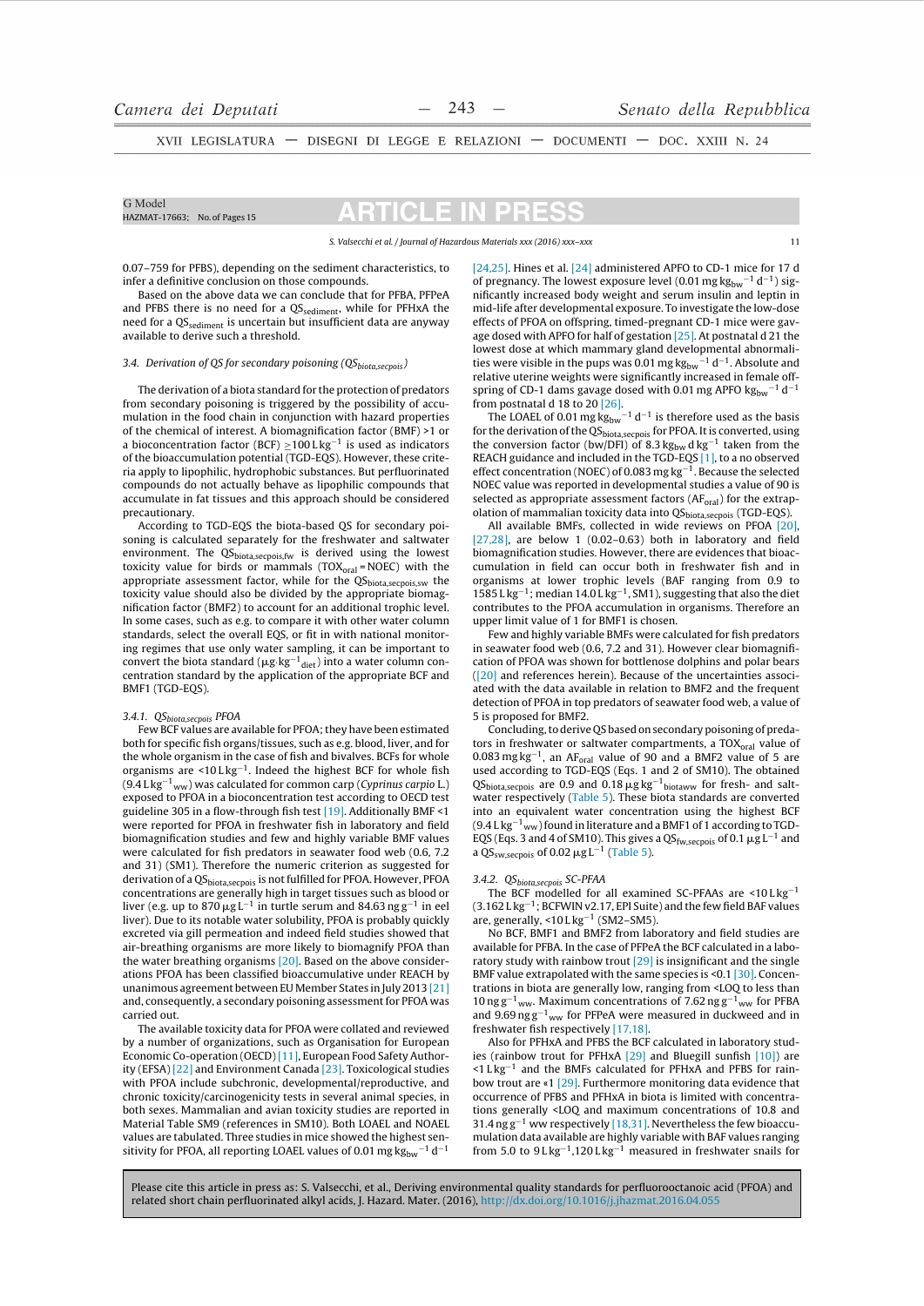XVII LEGISLATURA - DISEGNI DI LEGGE E RELAZIONI - DOCUMENTI - DOC. XXIII N. 24

#### G Model HAZMAT-17663: No. of Pages 15

## CI E.

S. Valsecchi et al. / Journal of Hazardous Materials xxx (2016) xxx-xxx

0.07-759 for PFBS), depending on the sediment characteristics, to infer a definitive conclusion on those compounds.

Based on the above data we can conclude that for PFBA, PFPeA and PFBS there is no need for a QS<sub>sediment</sub>, while for PFHxA the need for a QS<sub>sediment</sub> is uncertain but insufficient data are anyway available to derive such a threshold.

## 3.4. Derivation of QS for secondary poisoning  $(QS_{biotasecoois})$

The derivation of a biota standard for the protection of predators from secondary poisoning is triggered by the possibility of accumulation in the food chain in conjunction with hazard properties of the chemical of interest. A biomagnification factor (BMF) >1 or a bioconcentration factor (BCF)  $\geq$ 100 L kg<sup>-1</sup> is used as indicators of the bioaccumulation potential (TGD-EOS). However, these criteria apply to lipophilic, hydrophobic substances. But perfluorinated compounds do not actually behave as lipophilic compounds that accumulate in fat tissues and this approach should be considered precautionary.

According to TGD-EQS the biota-based QS for secondary poisoning is calculated separately for the freshwater and saltwater environment. The QS<sub>biota,secpois,fw</sub> is derived using the lowest toxicity value for birds or mammals  $(TOX_{\text{oral}} = NOEC)$  with the appropriate assessment factor, while for the QS<sub>biota,secpois,sw</sub> the toxicity value should also be divided by the appropriate biomagnification factor (BMF2) to account for an additional trophic level. In some cases, such as e.g. to compare it with other water column standards, select the overall EQS, or fit in with national monitoring regimes that use only water sampling, it can be important to convert the biota standard ( $\mu g$ - $\mu g^{-1}$  diet) into a water column concentration standard by the application of the appropriate BCF and BMF1 (TGD-EQS).

### 3.4.1. QS<sub>biota, secpois</sub> PFOA

Few BCF values are available for PFOA; they have been estimated both for specific fish organs/tissues, such as e.g. blood, liver, and for the whole organism in the case of fish and bivalves. BCFs for whole organisms are  $\leq 10$  L kg<sup>-1</sup>. Indeed the highest BCF for whole fish  $(9.4 \mathrm{Lkg^{-1}}_{\mathrm{WW}})$  was calculated for common carp (Cyprinus carpio L.) exposed to PFOA in a bioconcentration test according to OECD test guideline 305 in a flow-through fish test [19]. Additionally BMF <1 were reported for PFOA in freshwater fish in laboratory and field biomagnification studies and few and highly variable BMF values were calculated for fish predators in seawater food web (0.6, 7.2 and 31) (SM1). Therefore the numeric criterion as suggested for derivation of a QS<sub>hiota secpois</sub> is not fulfilled for PFOA. However, PFOA concentrations are generally high in target tissues such as blood or liver (e.g. up to  $870 \mu g L^{-1}$  in turtle serum and  $84.63 \text{ ng } g^{-1}$  in eel liver). Due to its notable water solubility, PFOA is probably quickly excreted via gill permeation and indeed field studies showed that air-breathing organisms are more likely to biomagnify PFOA than the water breathing organisms [20]. Based on the above considerations PFOA has been classified bioaccumulative under REACH by unanimous agreement between EU Member States in July 2013 [21] and, consequently, a secondary poisoning assessment for PFOA was carried out.

The available toxicity data for PFOA were collated and reviewed by a number of organizations, such as Organisation for European Economic Co-operation (OECD) [11], European Food Safety Authority (EFSA) [22] and Environment Canada [23]. Toxicological studies with PFOA include subchronic, developmental/reproductive, and chronic toxicity/carcinogenicity tests in several animal species, in both sexes. Mammalian and avian toxicity studies are reported in Material Table SM9 (references in SM10). Both LOAEL and NOAEL values are tabulated. Three studies in mice showed the highest sensitivity for PFOA, all reporting LOAEL values of 0.01 mg  $\rm kg_{bw}^{-1}$  d<sup>-1</sup>

[24,25]. Hines et al. [24] administered APFO to CD-1 mice for 17 d of pregnancy. The lowest exposure level (0.01 mg  $\text{kg}_{\text{hw}}$ <sup>-1</sup> d<sup>-1</sup>) significantly increased body weight and serum insulin and leptin in mid-life after developmental exposure. To investigate the low-dose effects of PFOA on offspring, timed-pregnant CD-1 mice were gavage dosed with APFO for half of gestation [25]. At postnatal d 21 the lowest dose at which mammary gland developmental abnormalities were visible in the pups was 0.01 mg  $kg_{bw}^{-1} d^{-1}$ . Absolute and relative uterine weights were significantly increased in female offspring of CD-1 dams gavage dosed with 0.01 mg APFO  $\text{kg}_{\text{bw}}$ <sup>-1</sup> d<sup>-1</sup>

from postnatal d 18 to 20 [26].<br>The LOAEL of 0.01 mg  $\text{kg}_{\text{bw}}$ <sup>-1</sup> d<sup>-1</sup> is therefore used as the basis for the derivation of the QS<sub>biota,secpois</sub> for PFOA. It is converted, using the conversion factor (bw/DFI) of 8.3  $\text{kg}_{\text{bw}}$  d kg<sup>-1</sup> taken from the<br>REACH guidance and included in the TGD-EQS [1], to a no observed effect concentration (NOEC) of 0.083 mg  $kg^{-1}$ . Because the selected NOEC value was reported in developmental studies a value of 90 is selected as appropriate assessment factors (AF<sub>oral</sub>) for the extrapolation of mammalian toxicity data into QS<sub>biota,secpois</sub> (TGD-EQS).

All available BMFs, collected in wide reviews on PFOA [20]  $[27,28]$ , are below 1  $(0.02-0.63)$  both in laboratory and field biomagnification studies. However, there are evidences that bioaccumulation in field can occur both in freshwater fish and in organisms at lower trophic levels (BAF ranging from 0.9 to  $1585\,\rm L\,kg^{-1}$ ; median $14.0\,\rm L\,kg^{-1}$ , SM1), suggesting that also the diet contributes to the PFOA accumulation in organisms. Therefore an upper limit value of 1 for BMF1 is chosen.

.<br>Few and highly variable BMFs were calculated for fish predators in seawater food web (0.6, 7.2 and 31). However clear biomagnification of PFOA was shown for bottlenose dolphins and polar bears  $(20)$  and references herein). Because of the uncertainties associated with the data available in relation to BMF2 and the frequent detection of PFOA in top predators of seawater food web, a value of 5 is proposed for BMF2.

Concluding, to derive QS based on secondary poisoning of predators in freshwater or saltwater compartments, a TOX<sub>oral</sub> value of 0.083 mg  $\text{kg}^{-1}$ , an AF<sub>oral</sub> value of 90 and a BMF2 value of 5 are used according to TGD-EQS (Eqs. 1 and 2 of SM10). The obtained  $Q_{\text{Biota, seepois}}$  are 0.9 and 0.18  $\mu$ g kg<sup>-1</sup> biotaww for fresh- and salt-<br>water respectively (Table 5). These biota standards are converted into an equivalent water concentration using the highest BCF  $(9.4 \, \text{Lkg}^{-1}$ <sub>ww</sub>) found in literature and a BMF1 of 1 according to TGD-EQS (Eqs. 3 and 4 of SM10). This gives a QS<sub>fw,secpois</sub> of 0.1  $\mu$ g L<sup>-1</sup> and a QS<sub>sw, secpois</sub> of 0.02  $\mu$ g L<sup>-1</sup> (Table 5).

### 3.4.2. QS<sub>biota</sub>secpois SC-PFAA

The BCF modelled for all examined SC-PFAAs are  $\leq 10$  L kg<sup>-1</sup>  $(3.162)$  L kg<sup>-1</sup>: BCFWIN v2.17. EPI Suite) and the few field BAF values are, generally, <10 L kg<sup>-1</sup> (SM2-SM5).

No BCF, BMF1 and BMF2 from laboratory and field studies are available for PFBA. In the case of PFPeA the BCF calculated in a laboratory study with rainbow trout  $[29]$  is insignificant and the single BMF value extrapolated with the same species is <0.1 [30]. Concentrations in biota are generally low, ranging from <LOQ to less than  $10 \text{ ng g}^{-1}$ <sub>ww</sub>. Maximum concentrations of 7.62 ng g<sup>-1</sup><sub>ww</sub> for PFBA and  $9.69 \text{ ng g}^{-1}$ <sub>ww</sub> for PFPeA were measured in duckweed and in freshwater fish respectively [17,18].

Also for PFHxA and PFBS the BCF calculated in laboratory studies (rainbow trout for PFHxA [29] and Bluegill sunfish [10]) are <1 L kg<sup>-1</sup> and the BMFs calculated for PFHxA and PFBS for rainbow trout are «1 [29]. Furthermore monitoring data evidence that occurrence of PFBS and PFHxA in biota is limited with concentrations generally <LOQ and maximum concentrations of 10.8 and  $31.4$  ng  $g^{-1}$  ww respectively [18,31]. Nevertheless the few bioaccumulation data available are highly variable with BAF values ranging from 5.0 to  $9Lkg^{-1}$ ,  $120Lkg^{-1}$  measured in freshwater snails for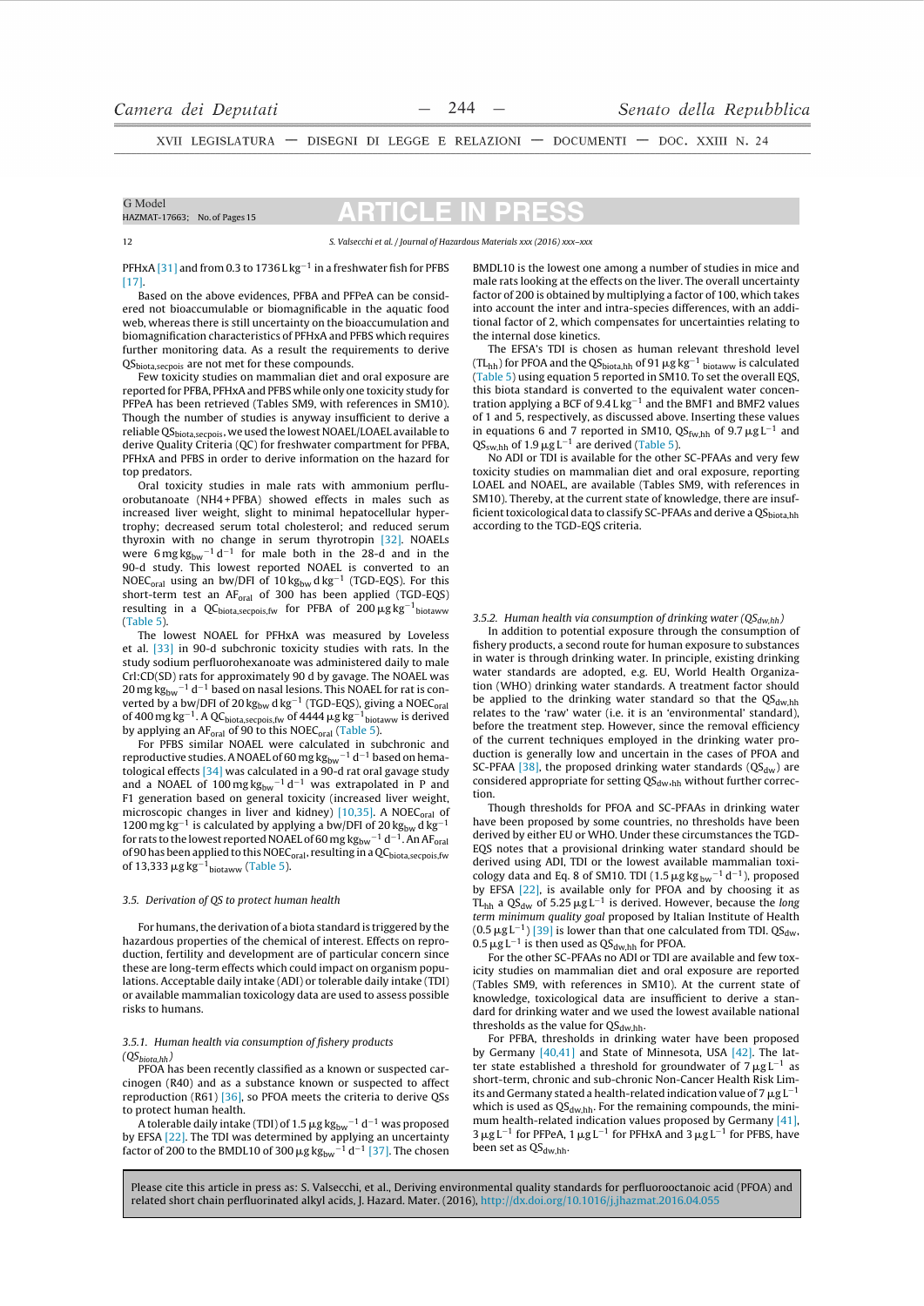XVII LEGISLATURA - DISEGNI DI LEGGE E RELAZIONI - DOCUMENTI - DOC. XXIII N. 24

#### G Model HAZMAT-17663: No. of Pages 15

# CI E

S. Valsecchi et al. / Journal of Hazardous Materials xxx (2016) xxx-xxx

PFHxA [31] and from 0.3 to 1736 L kg<sup>-1</sup> in a freshwater fish for PFBS  $[17]$ 

Based on the above evidences, PFBA and PFPeA can be considered not bioaccumulable or biomagnificable in the aquatic food web, whereas there is still uncertainty on the bioaccumulation and biomagnification characteristics of PFHxA and PFBS which requires further monitoring data. As a result the requirements to derive QS<sub>biota,secpois</sub> are not met for these compounds.

Few toxicity studies on mammalian diet and oral exposure are reported for PFBA, PFHxA and PFBS while only one toxicity study for PFPeA has been retrieved (Tables SM9, with references in SM10). Though the number of studies is anyway insufficient to derive a reliable QS<sub>biota, secpois</sub>, we used the lowest NOAEL/LOAEL available to derive Ouality Criteria (OC) for freshwater compartment for PFBA. PFHxA and PFBS in order to derive information on the hazard for top predators

Oral toxicity studies in male rats with ammonium perfluorobutanoate (NH4+PFBA) showed effects in males such as increased liver weight, slight to minimal hepatocellular hypertrophy; decreased serum total cholesterol; and reduced serum thyroxin with no change in serum thyrotropin [32]. NOAELs were  $6 \text{ mg} \text{ kg}_{\text{bw}}^{-1} \text{ d}^{-1}$  for male both in the 28-d and in the 90-d study. This lowest reported NOAEL is converted to an NOEC<sub>oral</sub> using an bw/DFI of  $10 \text{ kg}_{bw} \text{ dkg}^{-1}$  (TGD-EQS). For this short-term test an AF<sub>oral</sub> of 300 has been applied (TGD-EQS) resulting in a QC<sub>biota,secpois,fw</sub> for PFBA of 200  $\mu$ g kg<sup>-1</sup> biotaww  $(Table 5)$ 

The lowest NOAEL for PFHxA was measured by Loveless et al. [33] in 90-d subchronic toxicity studies with rats. In the study sodium perfluorohexanoate was administered daily to male Crl:CD(SD) rats for approximately 90 d by gavage. The NOAEL was  $20 \text{ mg} \text{ kg}_{\text{bw}}^{-1} \text{ d}^{-1}$  based on nasal lesions. This NOAEL for rat is converted by a bw/DFI of  $20 \text{ kg}_{bw}$  d  $\text{kg}^{-1}$  (TGD-EQS), giving a NOEC<sub>oral</sub> of 400 mg kg<sup>-1</sup>. A QC<sub>biota, secpois, fw</sub> of 4444  $\mu$ g kg<sup>-1</sup><sub>biotaww</sub> is derived by applying an AF<sub>oral</sub> of 90 to this NOEC<sub>oral</sub> (Table 5).

For PFBS similar NOAEL were calculated in subchronic and reproductive studies. A NOAEL of 60 mg  $\text{kg}_{\text{bw}}^{-1}$  d<sup>-1</sup> based on hematological effects [34] was calculated in a 90-d rat oral gavage study and a NOAEL of  $100 \text{ mg} \text{ kg}_{\text{bw}}^{-1} \text{ d}^{-1}$  was extrapolated in P and F1 generation based on general toxicity (increased liver weight, microscopic changes in liver and kidney) [10,35]. A NOEC<sub>oral</sub> of 1200 mg kg<sup>-1</sup> is calculated by applying a bw/DFI of 20 kg<sub>bw</sub> d kg<sup>-1</sup> for rats to the lowest reported NOAEL of 60 mg  $\text{kg}_{\text{bw}}^{-1}$  d<sup>-1</sup>. An AF<sub>oral</sub> of 90 has been applied to this NOEC<sub>oral</sub>, resulting in a QC<sub>biota,secpois,fw</sub> of 13,333  $\mu$ g kg<sup>-1</sup>biotaww (Table 5).

#### 3.5. Derivation of QS to protect human health

For humans, the derivation of a biota standard is triggered by the hazardous properties of the chemical of interest. Effects on reproduction, fertility and development are of particular concern since these are long-term effects which could impact on organism populations. Acceptable daily intake (ADI) or tolerable daily intake (TDI) or available mammalian toxicology data are used to assess possible risks to humans.

#### 3.5.1. Human health via consumption of fishery products  $(QS_{biota hh})$

PFOA has been recently classified as a known or suspected carcinogen (R40) and as a substance known or suspected to affect reproduction (R61) [36], so PFOA meets the criteria to derive QSs to protect human health.

A tolerable daily intake (TDI) of 1.5  $\mu$ g kg<sub>bw</sub><sup>-1</sup> d<sup>-1</sup> was proposed by EFSA <a>[22]</a>. The TDI was determined by applying an uncertainty factor of 200 to the BMDL10 of 300  $\mu$ g  $\text{kg}_{\text{bw}}^{-1}$  d<sup>-1</sup> [37]. The chosen

BMDL10 is the lowest one among a number of studies in mice and male rats looking at the effects on the liver. The overall uncertainty factor of 200 is obtained by multiplying a factor of 100, which takes into account the inter and intra-species differences, with an additional factor of 2, which compensates for uncertainties relating to the internal dose kinetics.

The EFSA's TDI is chosen as human relevant threshold level  $(TL_{hh})$  for PFOA and the QS<sub>biota,hh</sub> of 91  $\mu$ g kg<sup>-1</sup> <sub>biotaww</sub> is calculated (Table 5) using equation 5 reported in SM10. To set the overall EQS, this biota standard is converted to the equivalent water concentration applying a BCF of  $9.4 Lkg^{-1}$  and the BMF1 and BMF2 values of 1 and 5, respectively, as discussed above. Inserting these values in equations 6 and 7 reported in SM10,  $\mathrm{QS_{fw, hh}}$  of 9.7  $\mu$ g L<sup>-1</sup> and  $QS_{sw, hh}$  of 1.9  $\mu$ g L<sup>-1</sup> are derived (Table 5).

No ADI or TDI is available for the other SC-PFAAs and very few toxicity studies on mammalian diet and oral exposure, reporting LOAEL and NOAEL, are available (Tables SM9, with references in SM10). Thereby, at the current state of knowledge, there are insufficient toxicological data to classify SC-PFAAs and derive a QS<sub>biota.hh</sub> according to the TGD-EQS criteria.

3.5.2. Human health via consumption of drinking water ( $QS_{dw,hh}$ )

In addition to potential exposure through the consumption of fishery products, a second route for human exposure to substances in water is through drinking water. In principle, existing drinking water standards are adopted, e.g. EU, World Health Organization (WHO) drinking water standards. A treatment factor should be applied to the drinking water standard so that the  $QS_{dw,hh}$ relates to the 'raw' water (i.e. it is an 'environmental' standard), before the treatment step. However, since the removal efficiency of the current techniques employed in the drinking water production is generally low and uncertain in the cases of PFOA and SC-PFAA [38], the proposed drinking water standards ( $QS_{dw}$ ) are considered appropriate for setting QS<sub>dw,hh</sub> without further correction

Though thresholds for PFOA and SC-PFAAs in drinking water have been proposed by some countries, no thresholds have been derived by either EU or WHO. Under these circumstances the TGD-EQS notes that a provisional drinking water standard should be derived using ADI, TDI or the lowest available mammalian toxicology data and Eq. 8 of SM10. TDI (1.5  $\mu{\rm g}\,{\rm kg}\,{\rm_{bw}}^{-1}\,{\rm d}^{-1}$ ), proposed by EFSA [22], is available only for PFOA and by choosing it as TL<sub>hh</sub> a QS<sub>dw</sub> of  $5.25 \mu g L^{-1}$  is derived. However, because the *long* term minimum quality goal proposed by Italian Institute of Health  $(0.5 \,\mu g L^{-1})$  [39] is lower than that one calculated from TDI. QS<sub>dw</sub>,  $0.5 \mu g L^{-1}$  is then used as QS<sub>dw.hh</sub> for PFOA.

For the other SC-PFAAs no ADI or TDI are available and few toxicity studies on mammalian diet and oral exposure are reported (Tables SM9, with references in SM10). At the current state of knowledge, toxicological data are insufficient to derive a standard for drinking water and we used the lowest available national thresholds as the value for  $QS_{dw,hh}$ .

For PFBA, thresholds in drinking water have been proposed by Germany  $[40,41]$  and State of Minnesota, USA  $[42]$ . The latter state established a threshold for groundwater of  $7 \mu g L^{-1}$  as short-term, chronic and sub-chronic Non-Cancer Health Risk Limits and Germany stated a health-related indication value of 7  $\mu$ g L<sup>-1</sup> which is used as  $QS_{dw,hh}$ . For the remaining compounds, the minimum health-related indication values proposed by Germany [41].  $3 \mu g L^{-1}$  for PFPeA,  $1 \mu g L^{-1}$  for PFHxA and  $3 \mu g L^{-1}$  for PFBS, have been set as QS<sub>dw,hh</sub>.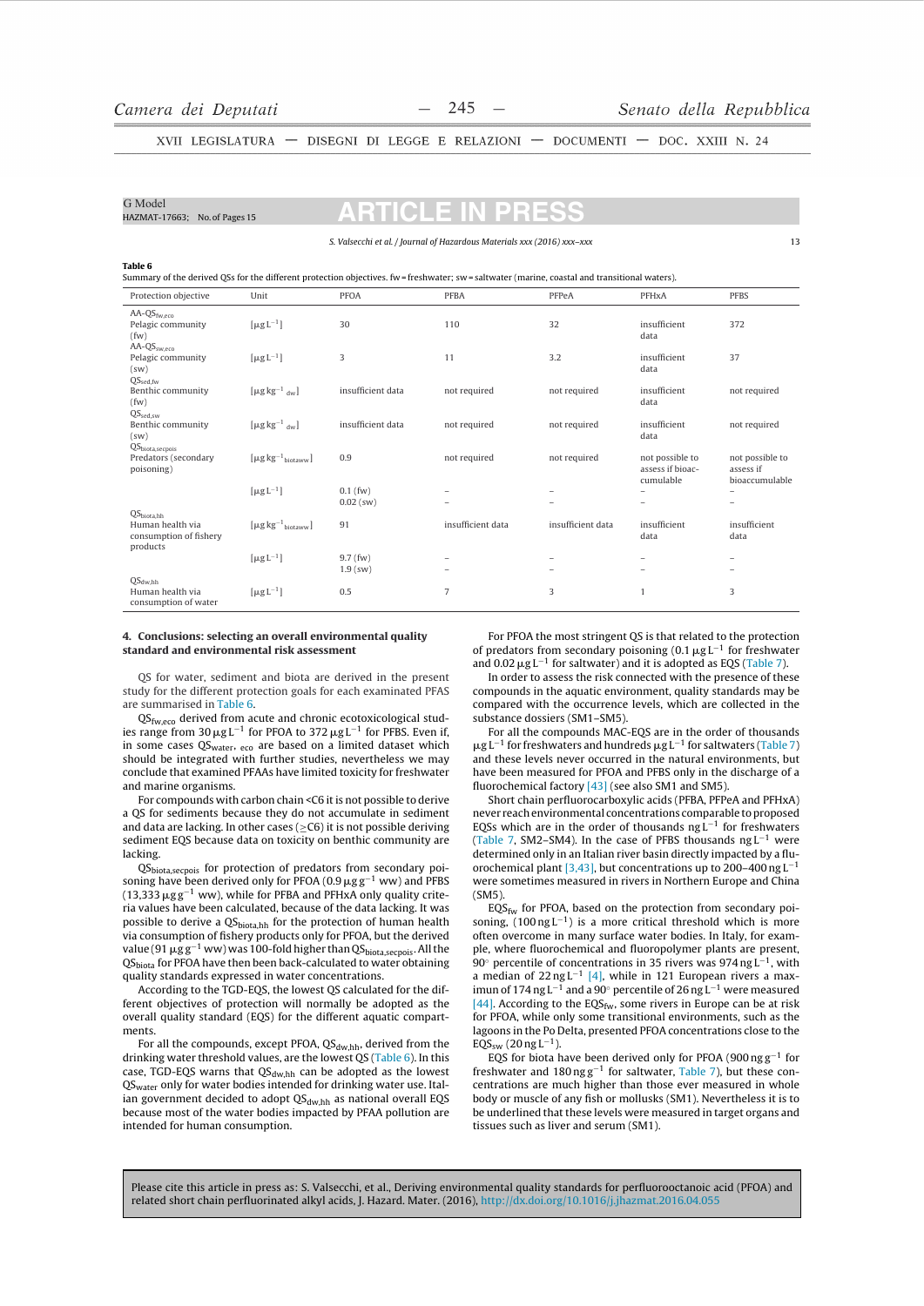HAZMAT-17663: No. of Pages 15

G Model

XVII LEGISLATURA - DISEGNI DI LEGGE E RELAZIONI - DOCUMENTI - DOC. XXIII N. 24

| S. Valsecchi et al. / Journal of Hazardous Materials xxx (2016) xxx-xxx                                                                               |                                               |                           |                   |                   |                                                  | $\mathbf{1}$                                   |  |
|-------------------------------------------------------------------------------------------------------------------------------------------------------|-----------------------------------------------|---------------------------|-------------------|-------------------|--------------------------------------------------|------------------------------------------------|--|
| Table 6<br>Summary of the derived QSs for the different protection objectives, fw=freshwater; sw=saltwater (marine, coastal and transitional waters). |                                               |                           |                   |                   |                                                  |                                                |  |
| Protection objective                                                                                                                                  | Unit                                          | <b>PFOA</b>               | <b>PFBA</b>       | PFPeA             | PFHxA                                            | <b>PFBS</b>                                    |  |
| $AA-QS_{fw.eco}$<br>Pelagic community<br>(fw)                                                                                                         | $\lceil \mu g L^{-1} \rceil$                  | 30                        | 110               | 32                | insufficient<br>data                             | 372                                            |  |
| $AA$ - $OSsw-ero$<br>Pelagic community<br>(sw)                                                                                                        | $\lceil \mu g L^{-1} \rceil$                  | 3                         | 11                | 3.2               | insufficient<br>data                             | 37                                             |  |
| $QS_{\text{sed,fw}}$<br>Benthic community<br>(fw)                                                                                                     | $\lceil \mu g \log^{-1} \, d_w \rceil$        | insufficient data         | not required      | not required      | insufficient<br>data                             | not required                                   |  |
| $QS_{sed,sw}$<br>Benthic community<br>(sw)                                                                                                            | $\lceil \mu g \log^{-1}$ dw                   | insufficient data         | not required      | not required      | insufficient<br>data                             | not required                                   |  |
| $QS_{\text{biota},\text{seepois}}$<br>Predators (secondary<br>poisoning)                                                                              | $[\mu g kg^{-1}$ <sub>biotaww</sub> ]         | 0.9                       | not required      | not required      | not possible to<br>assess if bioac-<br>cumulable | not possible to<br>assess if<br>bioaccumulable |  |
| QS <sub>biota.hh</sub>                                                                                                                                | $\lceil \mu g L^{-1} \rceil$                  | $0.1$ (fw)<br>$0.02$ (sw) |                   |                   |                                                  |                                                |  |
| Human health via<br>consumption of fishery<br>products                                                                                                | $\left[\mu g\,kg^{-1}\right]_{\text{hotaww}}$ | 91                        | insufficient data | insufficient data | insufficient<br>data                             | insufficient<br>data                           |  |
|                                                                                                                                                       | $\lceil \mu g L^{-1} \rceil$                  | $9.7$ (fw)<br>$1.9$ (sw)  |                   |                   |                                                  |                                                |  |
| $OS_{dwhh}$<br>Human health via<br>consumption of water.                                                                                              | $\lceil \mu g L^{-1} \rceil$                  | 0.5                       | 7                 | 3                 | $\overline{1}$                                   | 3                                              |  |

#### 4. Conclusions: selecting an overall environmental quality standard and environmental risk assessment

QS for water, sediment and biota are derived in the present study for the different protection goals for each examinated PFAS are summarised in Table 6.

 $QS<sub>fw.ero</sub>$  derived from acute and chronic ecotoxicological studies range from  $30 \mu g L^{-1}$  for PFOA to  $372 \mu g L^{-1}$  for PFBS. Even if, in some cases QS<sub>water</sub>, eco are based on a limited dataset which should be integrated with further studies, nevertheless we may conclude that examined PFAAs have limited toxicity for freshwater and marine organisms.

For compounds with carbon chain <C6 it is not possible to derive a QS for sediments because they do not accumulate in sediment and data are lacking. In other cases ( $\geq$ C6) it is not possible deriving sediment EQS because data on toxicity on benthic community are lacking.

QS<sub>biota,secpois</sub> for protection of predators from secondary poisoning have been derived only for PFOA (0.9  $\mu$ g g<sup>-1</sup> ww) and PFBS  $(13,333 \,\mu g g^{-1}$  ww), while for PFBA and PFHxA only quality criteria values have been calculated, because of the data lacking. It was possible to derive a QSbiota,hh for the protection of human health via consumption of fishery products only for PFOA, but the derived value (91  $\mu$ g g<sup>-1</sup> ww) was 100-fold higher than QS<sub>biota, secpois</sub>. All the QS<sub>biota</sub> for PFOA have then been back-calculated to water obtaining quality standards expressed in water concentrations.

According to the TGD-EQS, the lowest QS calculated for the different objectives of protection will normally be adopted as the overall quality standard (EQS) for the different aquatic compartments.

For all the compounds, except PFOA, QS<sub>dw.hh</sub>, derived from the drinking water threshold values, are the lowest QS (Table 6). In this case, TGD-EQS warns that  $QS_{\text{dw,hh}}$  can be adopted as the lowest  $QS_{\text{water}}$  only for water bodies intended for drinking water use. Italian government decided to adopt QS<sub>dw,hh</sub> as national overall EQS because most of the water bodies impacted by PFAA pollution are intended for human consumption.

For PFOA the most stringent OS is that related to the protection of predators from secondary poisoning  $(0.1 \mu g L^{-1}$  for freshwater and 0.02  $\mu$ g L<sup>-1</sup> for saltwater) and it is adopted as EQS (Table 7).

In order to assess the risk connected with the presence of these compounds in the aquatic environment, quality standards may be compared with the occurrence levels, which are collected in the substance dossiers (SM1-SM5).

For all the compounds MAC-EOS are in the order of thousands  $\mu$ g L<sup>-1</sup> for freshwaters and hundreds  $\mu$ g L<sup>-1</sup> for saltwaters (Table 7) and these levels never occurred in the natural environments, but have been measured for PFOA and PFBS only in the discharge of a fluorochemical factory [43] (see also SM1 and SM5).

Short chain perfluorocarboxylic acids (PFBA, PFPeA and PFHxA) never reach environmental concentrations comparable to proposed EQSs which are in the order of thousands  $ngL^{-1}$  for freshwaters (Table 7, SM2-SM4). In the case of PFBS thousands  $ngL^{-1}$  were determined only in an Italian river basin directly impacted by a fluorochemical plant [3,43], but concentrations up to 200-400 ng L<sup>-1</sup> were sometimes measured in rivers in Northern Europe and China  $(SM5)$ 

 $EQS_{fw}$  for PFOA, based on the protection from secondary poisoning,  $(100 \text{ ng } L^{-1})$  is a more critical threshold which is more often overcome in many surface water bodies. In Italy, for example, where fluorochemical and fluoropolymer plants are present, 90° percentile of concentrations in 35 rivers was 974 ng  $L^{-1}$ , with a median of  $22$  ng L<sup>-1</sup> [4], while in 121 European rivers a maxin the 174 ng L<sup>-1</sup> and a 90° percentile of 26 ng L<sup>-1</sup> were measured [44]. According to the EQS<sub>fw</sub>, some rivers in Europe can be at risk for PFOA, while only some transitional environments, such as the lagoons in the Po Delta, presented PFOA concentrations close to the  $EQS_{sw}$  (20 ng L<sup>-1</sup>).

EQS for biota have been derived only for PFOA (900  $\text{ng}\,\text{g}^{-1}$  for freshwater and  $180$  ng  $g^{-1}$  for saltwater, Table 7), but these concentrations are much higher than those ever measured in whole body or muscle of any fish or mollusks (SM1). Nevertheless it is to be underlined that these levels were measured in target organs and tissues such as liver and serum (SM1).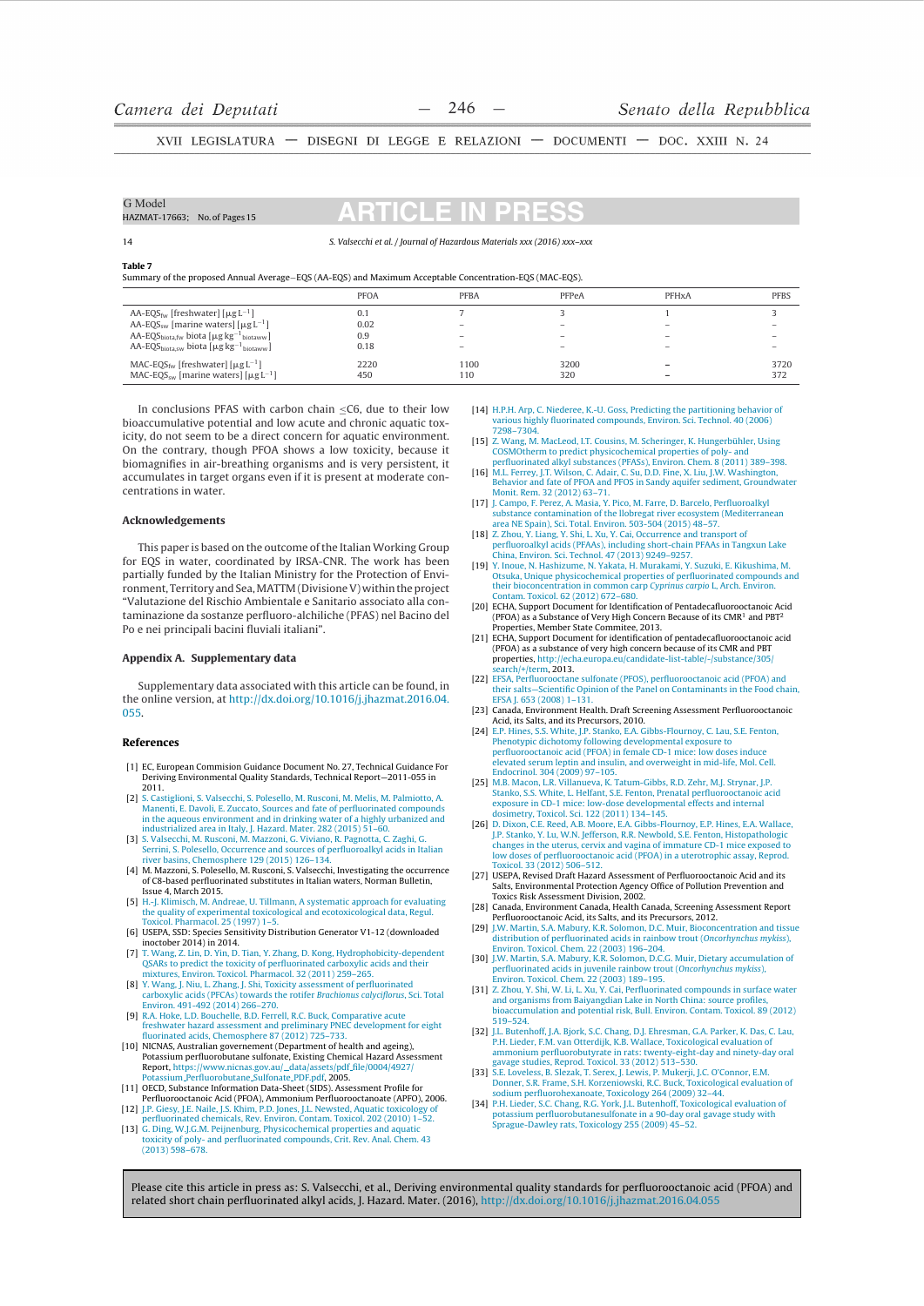XVII LEGISLATURA — DISEGNI DI LEGGE E RELAZIONI — DOCUMENTI — DOC. XXIII N. 24

| G Model<br>HAZMAT-17663; No. of Pages 15 | <b>ARTICLE IN PRESS</b>                                                 |
|------------------------------------------|-------------------------------------------------------------------------|
| 14                                       | S. Valsecchi et al. / Journal of Hazardous Materials xxx (2016) xxx-xxx |

**Table 7** 

Summary of the proposed Annual Average-EQS (AA-EQS) and Maximum Acceptable Concentration-EQS (MAC-EQS)

|                                                                           | <b>PFOA</b> | <b>PFBA</b>              | PFPeA | PFH <sub>x</sub> A       | <b>PFBS</b> |
|---------------------------------------------------------------------------|-------------|--------------------------|-------|--------------------------|-------------|
| AA-EQS <sub>fw</sub> [freshwater] [ $\mu$ g L <sup>-1</sup> ]             | 0.1         |                          |       |                          |             |
| AA-EQS <sub>sw</sub> [marine waters] $\lceil \mu g L^{-1} \rceil$         | 0.02        | $\overline{\phantom{a}}$ | -     | -                        |             |
| AA-EQS <sub>biota.fw</sub> biota $[\mu g kg^{-1}]_{\text{biotaww}}$       | 0.9         | $\overline{\phantom{a}}$ | -     |                          |             |
| AA-EQS <sub>biota.sw</sub> biota $[\mu g \, kg^{-1}$ <sub>biotaww</sub> ] | 0.18        | $\overline{\phantom{a}}$ | -     | $\overline{\phantom{a}}$ |             |
| MAC-EQS <sub>fw</sub> [freshwater] [ $\mu$ g L <sup>-1</sup> ]            | 2220        | 1100                     | 3200  | -                        | 3720        |
| MAC-EQS <sub>sw</sub> [marine waters] $\lceil \mu g L^{-1} \rceil$        | 450         | 110                      | 320   | -                        | 372         |
|                                                                           |             |                          |       |                          |             |

In conclusions PFAS with carbon chain  $\leq$ C6, due to their low bioaccumulative potential and low acute and chronic aquatic toxicity, do not seem to be a direct concern for aquatic environment. On the contrary, though PFOA shows a low toxicity, because it biomagnifies in air-breathing organisms and is very persistent, it accumulates in target organs even if it is present at moderate concentrations in water.

#### **Acknowledgements**

This paper is based on the outcome of the Italian Working Group for EQS in water, coordinated by IRSA-CNR. The work has been partially funded by the Italian Ministry for the Protection of Environment. Territory and Sea. MATTM (Divisione V) within the project "Valutazione del Rischio Ambientale e Sanitario associato alla contaminazione da sostanze perfluoro-alchiliche (PFAS) nel Bacino del Po e nei principali bacini fluviali italiani".

#### Appendix A. Supplementary data

Supplementary data associated with this article can be found, in the online version, at http://dx.doi.org/10.1016/j.jhazmat.2016.04. 055

#### References

- [1] EC. European Commision Guidance Document No. 27. Technical Guidance For Deriving Environmental Quality Standards, Technical Report-2011-055 in 2011.
- s. Castiglioni, S. Valsecchi, S. Polesello, M. Rusconi, M. Melis, M. Palmiotto, A  $[2]$ [2] S. Castiglioni, S. Valsecchi, S. Polesello, M. Rusconi, M. Melis, M. Palmiotto, A.<br>Manenti, E. Davoli, E. Zuccato, Sources and fate of perfluorinated compounds<br>in the aqueous environment and in drinking water of a high
- Serrini, S. Polesello, Occurrence and sources of perfluoroalkyl acids in Italian<br>river basins. Chemosphere 129 (2015) 126–134.
- $[4]$ M. Mazzoni, S. Polesello, M. Rusconi, S. Valsecchi, Investigating the occurrence of C8-based perfluorinated substitutes in Italian waters. Norman Bulletin. of the back permanent material material material problems in the set of the set of March 2015.<br>H.-J. Klimisch, M. Andreae, U. Tillmann, A systematic approach for evaluating
- $[5]$ the quality of experimental toxicological and ecotoxicological data, Regul.<br>Toxicol. Pharmacol. 25 (1997) 1–5.
- [6] USEPA, SSD: Species Sensitivity Distribution Generator V1-12 (downloaded
- [6] USEPA, SOP: Species Sensitivity Distribution Generator  $V1-12$  (townloaded<br>
[7] T. Wang, Z. Lin, D. Yin, D. Tian, Y. Zhang, D. Kong, Hydrophobicity-dependent<br>
(SARs to predict the toxicity of perfluorinated carboxylic
- carboxylic acids (PFCAs) towards the rotifer Brachionus calyciflorus, Sci. Total Environ. 491-492 (2014) 266-270.<br> **Environ. 491-492 (2014) 266-270.**<br> **[9] R.A. Hoke, L.D. Bouchelle, B.D. Ferrell, R.C. Buck, Comparative acute**
- Kay, take the according to the first many proportional present and preliminary PNEC development for eight fluorinated acids, Chemosphere 87 (2012) 725–733.
- 101 NICNAS, Australian government (Department of health and ageing),<br>Potassium perfluorobutane sulfonate, Existing Chemical Hazard Assessment<br>Report, https://www.nicnas.gov.au/...data/assets/pdf.file/0004/4927/<br>Potassium.P
- [11] OECD, Substance Information Data-Sheet (SIDS). Assessment Profile for Perfluorooctanoic Acid (PFOA), Ammonium Perfluorooctanoate (APFO), 2006.
- 12] J.P. Giesy, J.E. Naile, J.S. Khim, P.D. Jones, J.L. Newsted, Aquatic toxicology of perfluorinated chemicals, Rev. Environ. Contam. Toxicol. 202 (2010) 1–52. [13] G. Ding, W.J.G.M. Peijnenburg, Physicochemical properties and aquation
- or comp, vvgocom, regularizar priysticomemical properties and aquatic<br>toxicity of poly- and perfluorinated compounds, Crit. Rev. Anal. Chem. 43<br>(2013) 598-678.
- [14] H.P.H. Arp, C. Niederee, K.-U. Goss, Predicting the partitioning behavior of various highly fluorinated compounds, Environ, Sci. Technol. 40 (2006 vanous mg.<br>7298-7304.
- [15] Z. Wang, M. MacLeod, I.T. Cousins, M. Scheringer, K. Hungerbühler, Using Example, in machine predict physicochemical properties of poly- and<br>perfluorinated alkyl substances (PFASs), Environ. Chem. 8 (2011) 389–398.
- [16] M.L. Ferrey, J.T. Wilson, C. Adair, C. Su, D.D. Fine, X. Liu, J.W. Washington, Behavior and fate of PFOA and PFOS in Sandy aquifer sediment, Groundwater Monit, Rem. 32 (2012) 63-71.
- Fig. 1. Campo, F. Perez, A. Masia, Y. Pico, M. Farre, D. Barcelo, Perfluoroalkyl<br>substance contamination of the Ilobregat river ecosystem (Mediterranean<br>area NE Spain), Sci. Total. Environ. 503-504 (2015) 48–57.
- area No Spani), Sci. 10dai. Environ. 303-304 (2013) 46-37.<br>
[18] Z. Zhou, V. Liang, V. Shi, L. Xu, V. Cai, Occurrence and transport of<br>
perfluoroalkyl acids (PFAAs), including short-chain PFAAs in Tangxun Lake<br>
China, Envi
- [19] Y. Inoue, N. Hashizume, N. Yakata, H. Murakami, Y. Suzuki, E. Kikushima, M.<br>(19) S. Inoue, N. Hashizume, N. Yakata, H. Murakami, Y. Suzuki, E. Kikushima, M.<br>(19) Otsuka, Unique physicochemical properties of perfluorin Subata, unique physiocherinical properties of permanulated compound<br>their bioconcentration in common carp Cyprinus carpio L, Arch. Environ.<br>Contam. Toxicol. 62 (2012) 672–680.
- [20] ECHA, Support Document for Identification of Pentadecafluorooctanoic Acid<br>(PFOA) as a Substance of Very High Concern Because of its CMR<sup>1</sup> and PBT<sup>2</sup><br>Properties, Member State Commitee, 2013.
- Properties, weniner state communice, 2015.<br>[21] ECHA, Support Document for identification of pentadecafluorooctanoic acid<br>(PFOA) as a substance of very high concern because of its CMR and PBT properties, http://echa.europa.eu/candidate-list-table/-/substance/305 search/+/term, 2013.<br>
[22] EFSA, Perfluorooctane sulfonate (PFOS), perfluorooctanoic acid (PFOA) and
- their salts-Scientific Opinion of the Panel on Contaminants in the Food chain, EFSA J. 653 (2008) 1-131.
- [23] Canada, Environment Health, Draft Screening Assessment Perfluorooctanoic France Acid, its Salts, and its Precursors, 2010.<br>
The Salts, and its Precursors, 2010.<br>
[24] E.P. Hines, S.S. White, J.P. Stanko, E.A. Gibbs-Flournoy, C. Lau, S.E. Fenton, Phenotypic dichotomy following developmental expo
- Final perfluorooctanoic acid (PFOA) in female CD-1 mice: low doses induce<br>elevated serum leptin and insulin, and overweight in mid-life, Mol. Cell. Endocrinol. 304 (2009) 97-105.
- Table 1981, N.B. Macon, L.R. Villanueva, K. Tatum-Gibbs, R.D. Zehr, M.J. Strynar, J.P.<br>Stanko, S.S. White, L. Helfant, S.E. Fenton, Prenatal perfluorooctanoic acid
- Stanko, S.S. Winte, L. Heilant, S.E. Fenton, Prenatal perinturbootchalord action<br>exposure in CD-1 mice: low-dose developmental effects and internal<br>dosimetry, Toxicol. Sci. 122 (2011) 134-145.<br>[26] D. Dixon, C.E. Reed, A.B low doses of perfluorooctanoic acid (PFOA) in a uterotrophic assay, Reprod. Toxicol. 33 (2012) 506-512.
- [27] USEPA, Revised Draft Hazard Assessment of Perfluorooctanoic Acid and its Salts, Environmental Protection Agency Office of Pollution Prevention and Toxics Risk Assessment Division, 2002.
- [28] Canada, Environment Canada, Health Canada, Screening Assessment Report
- 129] Januar, Environment Canada, Ireant Canada, Streting SSESSINER Report<br>129] J.W. Martin, S.A. Mabury, K.R. Solomon, D.C. Muir, Bioconcentration and tissue<br>distribution of perfluorinated acids in rainbow trout (*Oncorhyn* Environ. Toxicol. Chem. 22 (2003) 196-204.<br>
Environ. Toxicol. Chem. 22 (2003) 196-204.<br> **[30]** J.W. Martin, S.A. Mabury, K.R. Solomon, D.C.G. Muir, Dietary accumulation of
- perfluorinated acids in juvenile rainbow trout (*Oncorhynchus mykiss*),<br>Environ. Toxicol. Chem. 22 (2003) 189–195.<br>Environ. Toxicol. Chem. 22 (2003) 189–195.<br>[31] Z. Zhou, Y. Shi, W. Li, L. Xu, Y. Cai, Perfluorinated compo
- 519-524.
- 519–524.<br>
132 | J.L. Butenhoff, J.A. Bjork, S.C. Chang, D.J. Ehresman, G.A. Parker, K. Das, C. Lau,<br>
14. E. P.H. Lieder, F.M. van Otterdijk, K.B. Wallace, Toxicological evaluation of<br>
1521 | P.H. Lieder, F.M. van Otterdijk
- 
- [34] P.H. Lieder, S.C. Chang, R.G. York, J.L. Butenhoff, Toxicological evaluation of potassium perfluorobutanesulfonate in a 90-day oral gavage study with Sprague-Dawley rats, Toxicology 255 (2009) 45-52.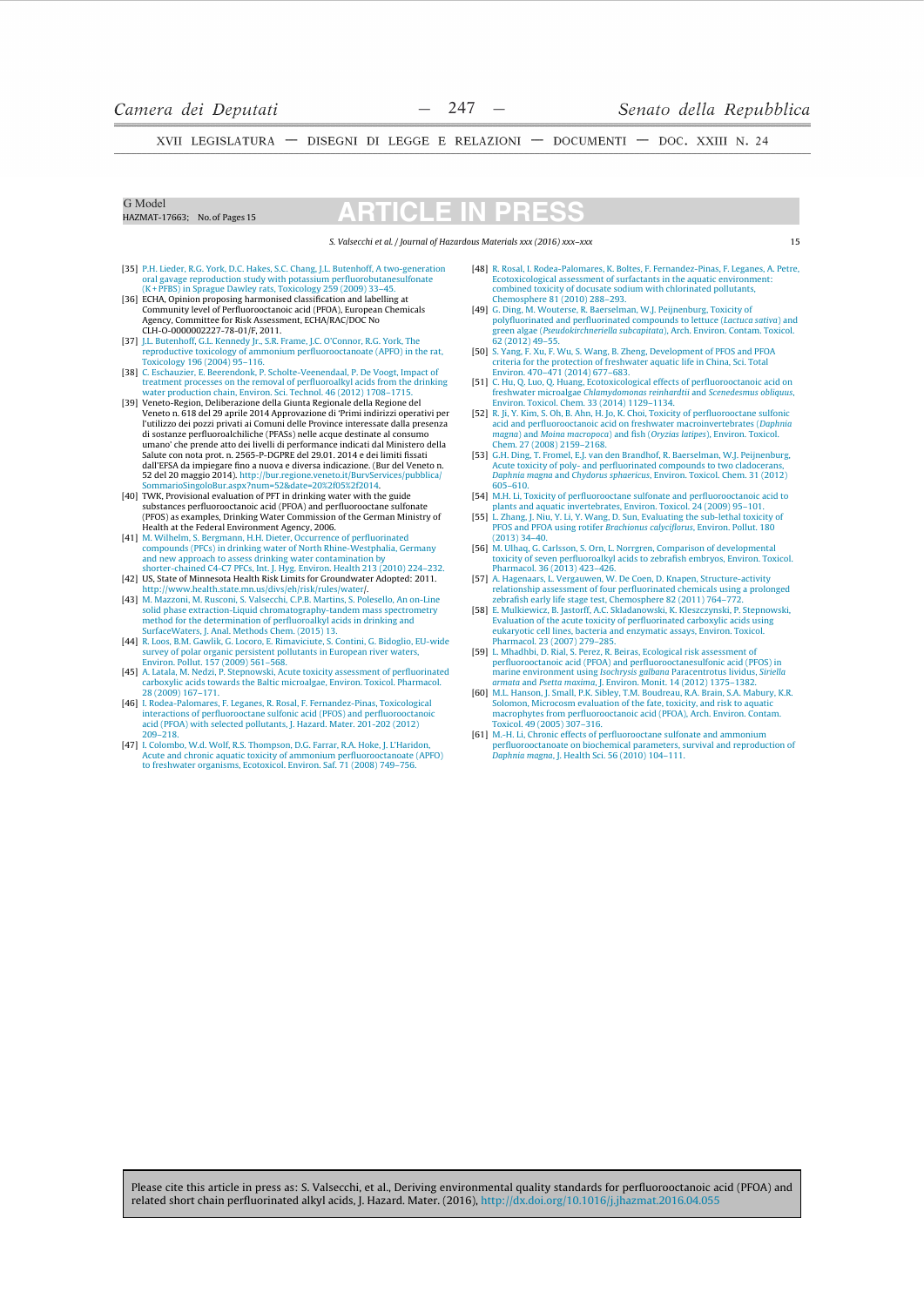$15$ 

XVII LEGISLATURA - DISEGNI DI LEGGE E RELAZIONI - DOCUMENTI - DOC. XXIII N. 24

G Model HAZMAT-17663: No. of Pages 15

# CH

S. Valsecchi et al. / Journal of Hazardous Materials xxx (2016) xxx-xxx

- [35] P.H. Lieder, R.G. York, D.C. Hakes, S.C. Chang, J.L. Butenhoff, A two-generation oral gavage reproduction study with potassium perfluorobutanes<br>ulforate (K+PFBS) in Sprague Dawley rats, Toxicology 259 (2009) 33–45.<br>[3
- Agency, Committee for Risk Assessment, ECHA/RAC/DOC No CLH-0-0000002227-78-01/F, 2011.
- [37] J.L. Butenhoff, G.L. Kennedy Ir., S.R. Frame, J.C. O'Connor, R.G. York, The<br>reproductive toxicology of ammonium perfluorooctanoate (APFO) in the rat,<br>Toxicology 196 (2004) 95–116.
- Folkhauzier, E. Beerendonk, P. Scholte-Veenendaal, P. De Voogt, Impact of treatment processes on the removal of perfluoroalkyl acids from the drinking water production chain, Environ. Sci. Technol. 46 (2012) 1708–1715.  $[38]$
- [39] Veneto-Region, Deliberazione della Giunta Regionale della Regione del<br>Veneto-Region, Deliberazione della Giunta Regionale della Regione del<br>Veneto n. 618 del 29 aprile 2014 Approvazione di 'Primi indirizzi operativi p Tuttilizzo dei pozzi privati al Comuni delle Province interessate dalla presenza<br>di sostanze perfluoroalchiliche (PFASs) nelle acque destinate al consumo<br>umano' che prende atto dei livelli di performance indicati dal Minis Salute con nota prot. n. 2565-P-DGPRE del 29.01. 2014 e dei limiti fissati dall'EFSA da impiegare fino a nuova e diversa indicazione. (Bur del Veneto n.
- 52 del 20 maggio 2014). http://bur.regione.veneto.it/BurvServices/pubblica, SommarioSingoloBur.aspx?num=52&date=20%2f05%2f2014.<br>[40] TWK, Provisional evaluation of PFT in drinking water with the guide<br>substances perfluoro substances permutation call to the Commission of the German Ministry of<br>(PFOS) as examples, Drinking Water Commission of the German Ministry of<br>Health at the Federal Environment Agency, 2006.
- Heath at the Pederal Environment Agency, 2000.<br>
141] M. Wilhelm, S. Bergmann, H.H. Dieter, Occurrence of perfluorinated<br>
compounds (PFCs) in drinking water of North Rhine-Westphalia, Germany<br>
and new approach to assess dri
- 
- 142)<br>
1920, Jane Grammar State, american av annual blutter://www.health.state.mn.us/divs/eh/risk/rules/water/.<br>
193] M. Mazzoni, M. Rusconi, S. Valsecchi, C.P.B. Martins, S. Polesello, An on-Line solid phase extraction-Liq method for the determination of perfluoroalkyl acids in drinking and SurfaceWaters, J. Anal. Methods Chem. (2015) 13.<br>SurfaceWaters, J. Anal. Methods Chem. (2015) 13.<br>R. Loos, B.M. Gawlik, G. Locoro, E. Rimaviciute, S. Contini, G. Bidoglio, EU-wide
- $[44]$ 1.1.1 Survey of polar organic persistent pollutants in European river waters,<br>Environ. Pollut. 157 (2009) 561–568.<br>**[45]** A. Latala, M. Nedzi, P. Stepnowski, Acute toxicity assessment of perfluorinated
- carboxylic acids towards the Baltic microalgae, Environ. Toxicol. Pharmacol. 28 (2009) 167-171.
- **[46]** I. Rodea-Palomares, F. Leganes, R. Rosal, F. Fernandez-Pinas, Toxicological<br>interactions of perfluorooctane sulfonic acid (PFOS) and perfluorooctanoia<br>acid (PFOA) with selected pollutants, J. Hazard. Mater. 201-202  $200 - 218$
- [47] I. Colombo, W.d. Wolf, R.S. Thompson, D.G. Farrar, R.A. Hoke, J. L'Haridor Acute and chronic aquatic toxicity of ammonium perfluorooctanoate (APFO) to freshwater organisms, Ecotoxicol. Environ. Saf. 71 (2008) 749–756.
- [48] R. Rosal, I. Rodea-Palomares, K. Boltes, F. Fernandez-Pinas, F. Leganes, A. Petre, Ecotoxicological assessment of surfactants in the aquatic environment: combined toxicity of docusate sodium with chlorinated pollutants,<br>Chemosphere 81 (2010) 288–293.<br>
[49] G. Ding, M. Wouterse, R. Baerselman, W.J. Peijnenburg, Toxicity of
- consider the perfluorinated compounds to lettuce (*Lactuca sativa*) and<br>green algae (*Pseudokirchneriella subcapitata*), Arch. Environ. Contam. Toxicol. 62 (2012) 49-55
- **[50]** S. Yang, F. Xu, F. Wu, S. Wang, B. Zheng, Development of PFOS and PFOA criteria for the protection of freshwater aquatic life in China, Sci. Total Environ 470-471 (2014) 677-683
- EXECUTION: 470-471 (2014) 677-665.<br>
[51] C. Hu, Q. Luo, Q. Huang, Ecotoxicological effects of perfluorooctanoic acid on<br>
freshwater microalgae Chlamydomonas reinhardtii and Scenedesmus obliquus,<br>
Environ, Toxicol. Chem. 33
- **ESP R. Ji, Y. Kim, S. Oh, B. Ahn, H. Jo, K. Choi, Toxicity of perfluorooctane sulfonic<br>acid and perfluorooctanoic acid on freshwater macroinvertebrates (Daphnia** magna) and Moina macropoca) and fish (Oryzias latipes), Environ. Toxicol. Chem. 27 (2008) 2159–2168.
- **[53]** G.H. Ding, T. Fromel, E.J. van den Brandhof, R. Baerselman, W.J. Peijnenburg, Acute toxicity of poly- and perfluorinated compounds to two cladocerans, *Daphnia magna* and *Chydorus sphaericus*, Environ. Toxicol. Che 605-610.
- [54] M.H. Li, Toxicity of perfluorooctane sulfonate and perfluorooctanoic acid to<br>plants and aquatic invertebrates. Environ. Toxicol. 24 (2009) 95-101.
- Fig. 2 Jang, J. Niu, Y. Li, Y. Wang, D. Sun, Evaluating the sub-lethal toxicity of<br>PFOS and PFOA using rotifer *Brachionus calyciflorus*, Environ. Pollut. 180  $(2013)$  34-40.
- [56] M. Ulhaq, G. Carlsson, S. Orn, L. Norrgren, Comparison of developmental toxicity of seven perfluoroalkyl acids to zebrafish embryos. Environ, Toxicol
- Pharmacol. 36 (2013) 423-426.<br>
Pharmacol. 36 (2013) 423-426.<br>
[57] A. Hagenaars, L. Vergauwen, W. De Coen, D. Knapen, Structure-activity A. Ingenians, L. vergatiweit, w. De Coen, D. Knapen, Structure-activity<br>relationship assessment of four perfluorinated chemicals using a prolonged<br>zebrafish early life stage test, Chemosphere 82 (2011) 764–772.<br>E. Mulkiewi
- [58] F Evaluation of the acute toxicity of perfluorinated carboxylic acids using Extracture of the cute to state of permanental carboxyle actual<br>plannyotic cell lines, bacteria and enzymatic assays, Environ. Toxicol.<br>Pharmacol. 23 (2007) 279–285.
- Fallmaton. 25 (2007) 273-263.<br>
[SPIL. Mhadhbi, D. Rial, S. Perez, R. Beiras, Ecological risk assessment of<br>
perfluorooctanoic acid (PFOA) and perfluorooctanesulfonic acid (PFOS) in<br>
marine environment using Isochrysis galb
- manismy, J. Smani, 1. A. Smani, O. Bolomon, Microcosm evaluation of the fate, toxicity, and risk to aquatic macrophytes from perfluorooctanoic acid (PFOA), Arch. Environ. Contam Toxicol. 49 (2005) 307–316.
- [61] M.-H. Li, Chronic effects of perfluorooctane sulfonate and ammonium<br>perfluorooctanoate on biochemical parameters, survival and reproduction of Daphnia magna, J. Health Sci. 56 (2010) 104-111.